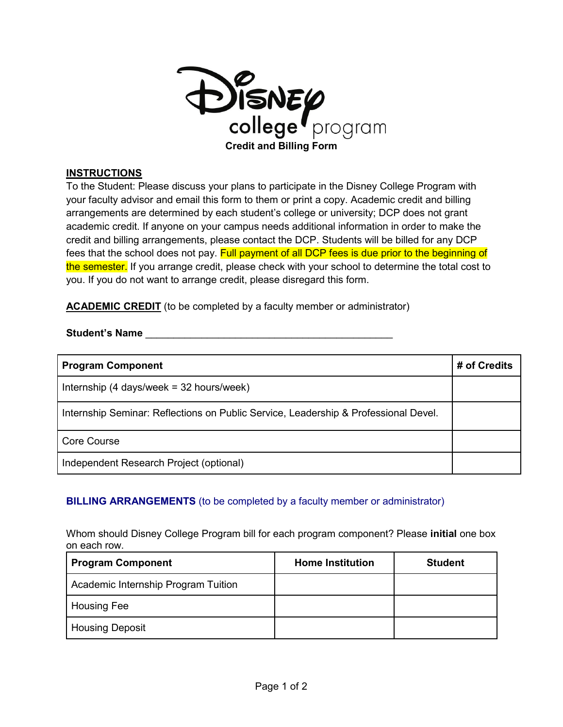

## **INSTRUCTIONS**

To the Student: Please discuss your plans to participate in the Disney College Program with your faculty advisor and email this form to them or print a copy. Academic credit and billing arrangements are determined by each student's college or university; DCP does not grant academic credit. If anyone on your campus needs additional information in order to make the credit and billing arrangements, please contact the DCP. Students will be billed for any DCP fees that the school does not pay. Full payment of all DCP fees is due prior to the beginning of the semester. If you arrange credit, please check with your school to determine the total cost to you. If you do not want to arrange credit, please disregard this form.

**ACADEMIC CREDIT** (to be completed by a faculty member or administrator)

## Student's Name

| <b>Program Component</b>                                                            | # of Credits |
|-------------------------------------------------------------------------------------|--------------|
| Internship $(4 \text{ days/week} = 32 \text{ hours/week})$                          |              |
| Internship Seminar: Reflections on Public Service, Leadership & Professional Devel. |              |
| <b>Core Course</b>                                                                  |              |
| Independent Research Project (optional)                                             |              |

## **BILLING ARRANGEMENTS** (to be completed by a faculty member or administrator)

Whom should Disney College Program bill for each program component? Please **initial** one box on each row.

| <b>Program Component</b>            | <b>Home Institution</b> | <b>Student</b> |
|-------------------------------------|-------------------------|----------------|
| Academic Internship Program Tuition |                         |                |
| <b>Housing Fee</b>                  |                         |                |
| <b>Housing Deposit</b>              |                         |                |